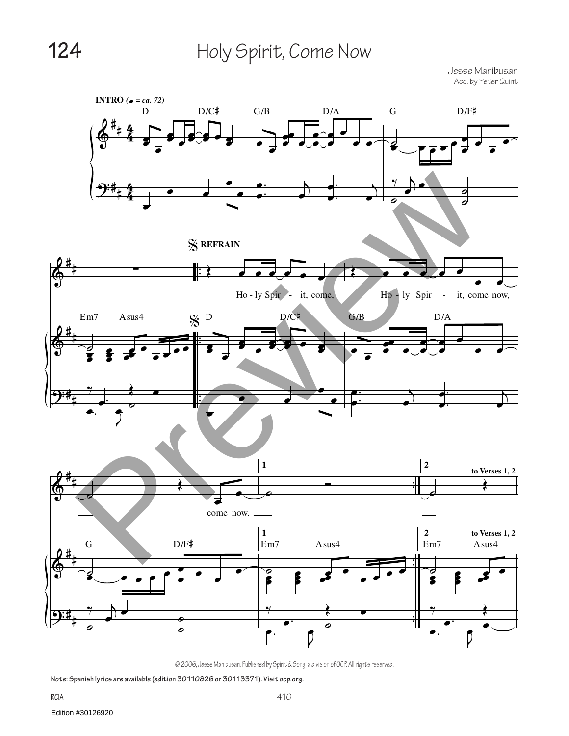Jesse Manibusan Acc. by Peter Quint



© 2006, Jesse Manibusan. Published by Spirit & Song, a division of OCP. All rights reserved.

**Note: Spanish lyrics are available (edition 30110826 or 30113371). Visit ocp.org.**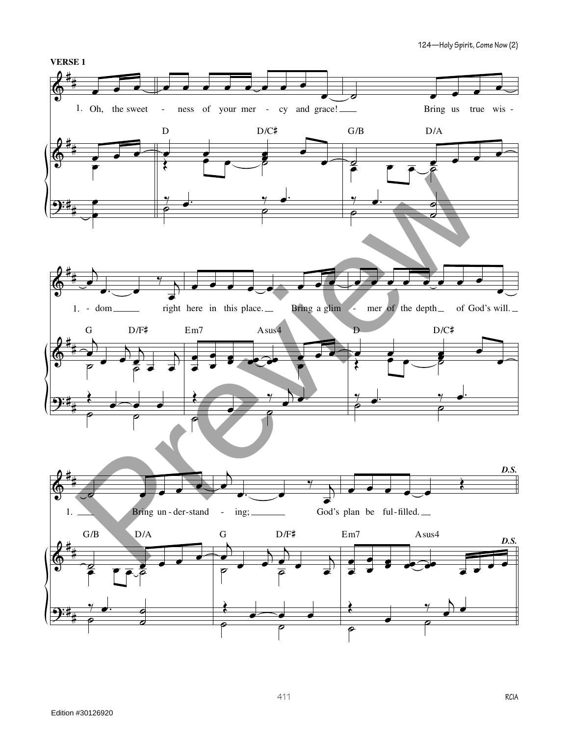**124—Holy Spirit, Come Now (2)**

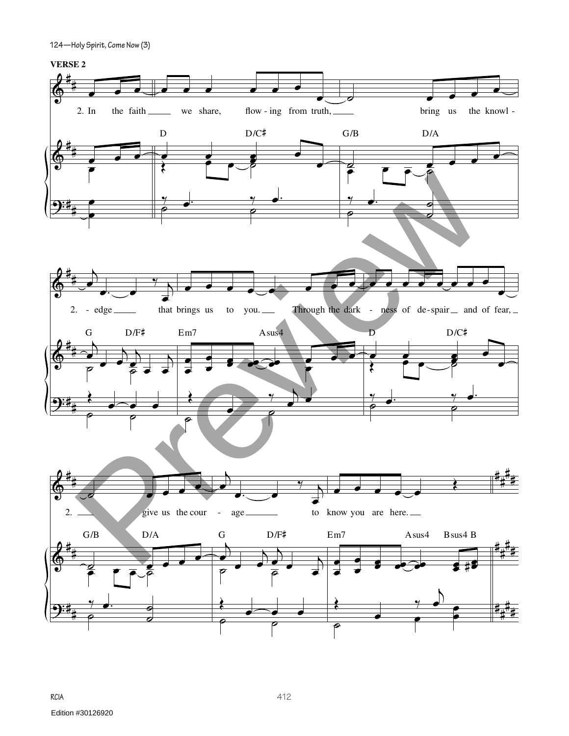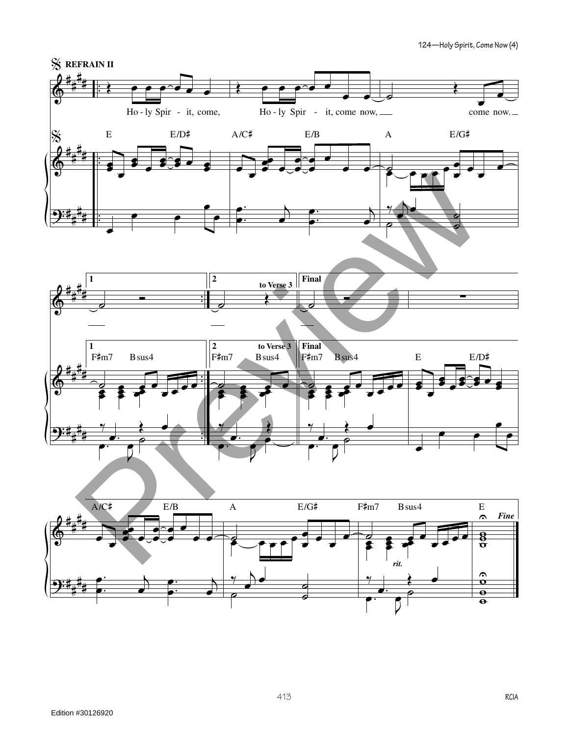**124—Holy Spirit, Come Now (4)**